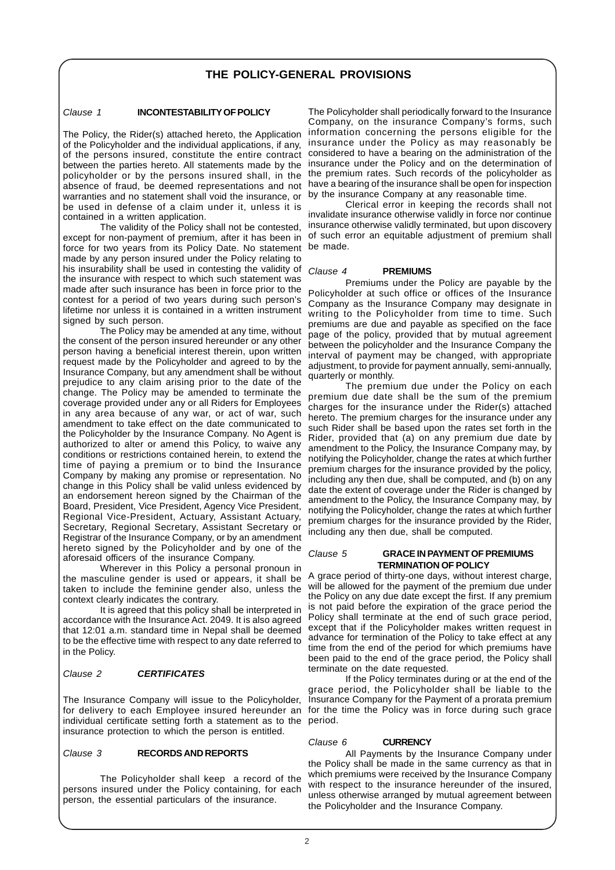## **THE POLICY-GENERAL PROVISIONS**

#### Clause 1 **INCONTESTABILITY OF POLICY**

The Policy, the Rider(s) attached hereto, the Application of the Policyholder and the individual applications, if any, of the persons insured, constitute the entire contract between the parties hereto. All statements made by the policyholder or by the persons insured shall, in the absence of fraud, be deemed representations and not warranties and no statement shall void the insurance, or be used in defense of a claim under it, unless it is contained in a written application.

The validity of the Policy shall not be contested, except for non-payment of premium, after it has been in force for two years from its Policy Date. No statement be made. made by any person insured under the Policy relating to his insurability shall be used in contesting the validity of the insurance with respect to which such statement was made after such insurance has been in force prior to the contest for a period of two years during such person's lifetime nor unless it is contained in a written instrument signed by such person.

The Policy may be amended at any time, without the consent of the person insured hereunder or any other person having a beneficial interest therein, upon written request made by the Policyholder and agreed to by the Insurance Company, but any amendment shall be without prejudice to any claim arising prior to the date of the change. The Policy may be amended to terminate the coverage provided under any or all Riders for Employees in any area because of any war, or act of war, such amendment to take effect on the date communicated to the Policyholder by the Insurance Company. No Agent is authorized to alter or amend this Policy, to waive any conditions or restrictions contained herein, to extend the time of paying a premium or to bind the Insurance Company by making any promise or representation. No change in this Policy shall be valid unless evidenced by an endorsement hereon signed by the Chairman of the Board, President, Vice President, Agency Vice President, Regional Vice-President, Actuary, Assistant Actuary, Secretary, Regional Secretary, Assistant Secretary or Registrar of the Insurance Company, or by an amendment hereto signed by the Policyholder and by one of the aforesaid officers of the insurance Company.

Wherever in this Policy a personal pronoun in the masculine gender is used or appears, it shall be taken to include the feminine gender also, unless the context clearly indicates the contrary.

It is agreed that this policy shall be interpreted in accordance with the Insurance Act. 2049. It is also agreed that 12:01 a.m. standard time in Nepal shall be deemed to be the effective time with respect to any date referred to in the Policy.

#### Clause 2 **CERTIFICATES**

The Insurance Company will issue to the Policyholder, individual certificate setting forth a statement as to the period. insurance protection to which the person is entitled.

#### Clause 3 **RECORDS AND REPORTS**

The Policyholder shall keep a record of the persons insured under the Policy containing, for each person, the essential particulars of the insurance.

The Policyholder shall periodically forward to the Insurance Company, on the insurance Company's forms, such information concerning the persons eligible for the insurance under the Policy as may reasonably be considered to have a bearing on the administration of the insurance under the Policy and on the determination of the premium rates. Such records of the policyholder as have a bearing of the insurance shall be open for inspection by the insurance Company at any reasonable time.

Clerical error in keeping the records shall not invalidate insurance otherwise validly in force nor continue insurance otherwise validly terminated, but upon discovery of such error an equitable adjustment of premium shall

#### Clause 4 **PREMIUMS**

Premiums under the Policy are payable by the Policyholder at such office or offices of the Insurance Company as the Insurance Company may designate in writing to the Policyholder from time to time. Such premiums are due and payable as specified on the face page of the policy, provided that by mutual agreement between the policyholder and the Insurance Company the interval of payment may be changed, with appropriate adjustment, to provide for payment annually, semi-annually, quarterly or monthly.

The premium due under the Policy on each premium due date shall be the sum of the premium charges for the insurance under the Rider(s) attached hereto. The premium charges for the insurance under any such Rider shall be based upon the rates set forth in the Rider, provided that (a) on any premium due date by amendment to the Policy, the Insurance Company may, by notifying the Policyholder, change the rates at which further premium charges for the insurance provided by the policy, including any then due, shall be computed, and (b) on any date the extent of coverage under the Rider is changed by amendment to the Policy, the Insurance Company may, by notifying the Policyholder, change the rates at which further premium charges for the insurance provided by the Rider, including any then due, shall be computed.

#### Clause 5 **GRACE IN PAYMENT OF PREMIUMS TERMINATION OF POLICY**

A grace period of thirty-one days, without interest charge, will be allowed for the payment of the premium due under the Policy on any due date except the first. If any premium is not paid before the expiration of the grace period the Policy shall terminate at the end of such grace period, except that if the Policyholder makes written request in advance for termination of the Policy to take effect at any time from the end of the period for which premiums have been paid to the end of the grace period, the Policy shall terminate on the date requested.

for delivery to each Employee insured hereunder an for the time the Policy was in force during such grace If the Policy terminates during or at the end of the grace period, the Policyholder shall be liable to the Insurance Company for the Payment of a prorata premium

#### Clause 6 **CURRENCY**

All Payments by the Insurance Company under the Policy shall be made in the same currency as that in which premiums were received by the Insurance Company with respect to the insurance hereunder of the insured, unless otherwise arranged by mutual agreement between the Policyholder and the Insurance Company.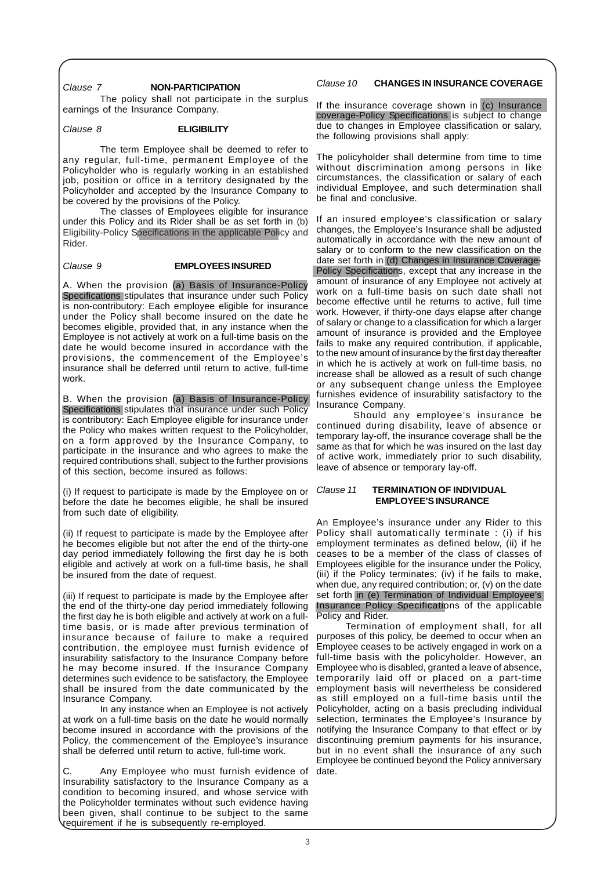#### Clause 7 **NON-PARTICIPATION**

The policy shall not participate in the surplus earnings of the Insurance Company.

#### Clause 8 **ELIGIBILITY**

The term Employee shall be deemed to refer to any regular, full-time, permanent Employee of the Policyholder who is regularly working in an established job, position or office in a territory designated by the Policyholder and accepted by the Insurance Company to be covered by the provisions of the Policy.

The classes of Employees eligible for insurance under this Policy and its Rider shall be as set forth in (b) Eligibility-Policy Specifications in the applicable Policy and Rider.

#### Clause 9 **EMPLOYEES INSURED**

A. When the provision (a) Basis of Insurance-Policy Specifications stipulates that insurance under such Policy is non-contributory: Each employee eligible for insurance under the Policy shall become insured on the date he becomes eligible, provided that, in any instance when the Employee is not actively at work on a full-time basis on the date he would become insured in accordance with the provisions, the commencement of the Employee's insurance shall be deferred until return to active, full-time work.

B. When the provision (a) Basis of Insurance-Policy Specifications stipulates that insurance under such Policy is contributory: Each Employee eligible for insurance under the Policy who makes written request to the Policyholder, on a form approved by the Insurance Company, to participate in the insurance and who agrees to make the required contributions shall, subject to the further provisions of this section, become insured as follows:

(i) If request to participate is made by the Employee on or before the date he becomes eligible, he shall be insured from such date of eligibility.

(ii) If request to participate is made by the Employee after he becomes eligible but not after the end of the thirty-one day period immediately following the first day he is both eligible and actively at work on a full-time basis, he shall be insured from the date of request.

(iii) If request to participate is made by the Employee after the end of the thirty-one day period immediately following the first day he is both eligible and actively at work on a fulltime basis, or is made after previous termination of insurance because of failure to make a required contribution, the employee must furnish evidence of insurability satisfactory to the Insurance Company before he may become insured. If the Insurance Company determines such evidence to be satisfactory, the Employee shall be insured from the date communicated by the Insurance Company.

In any instance when an Employee is not actively at work on a full-time basis on the date he would normally become insured in accordance with the provisions of the Policy, the commencement of the Employee's insurance shall be deferred until return to active, full-time work.

C. Any Employee who must furnish evidence of date.Insurability satisfactory to the Insurance Company as a condition to becoming insured, and whose service with the Policyholder terminates without such evidence having been given, shall continue to be subject to the same requirement if he is subsequently re-employed.

#### Clause 10 **CHANGES IN INSURANCE COVERAGE**

If the insurance coverage shown in (c) Insurance coverage-Policy Specifications is subject to change due to changes in Employee classification or salary, the following provisions shall apply:

The policyholder shall determine from time to time without discrimination among persons in like circumstances, the classification or salary of each individual Employee, and such determination shall be final and conclusive.

If an insured employee's classification or salary changes, the Employee's Insurance shall be adjusted automatically in accordance with the new amount of salary or to conform to the new classification on the date set forth in (d) Changes in Insurance Coverage-Policy Specifications, except that any increase in the amount of insurance of any Employee not actively at work on a full-time basis on such date shall not become effective until he returns to active, full time work. However, if thirty-one days elapse after change of salary or change to a classification for which a larger amount of insurance is provided and the Employee fails to make any required contribution, if applicable, to the new amount of insurance by the first day thereafter in which he is actively at work on full-time basis, no increase shall be allowed as a result of such change or any subsequent change unless the Employee furnishes evidence of insurability satisfactory to the Insurance Company.

Should any employee's insurance be continued during disability, leave of absence or temporary lay-off, the insurance coverage shall be the same as that for which he was insured on the last day of active work, immediately prior to such disability, leave of absence or temporary lay-off.

#### Clause 11 **TERMINATION OF INDIVIDUAL EMPLOYEE'S INSURANCE**

An Employee's insurance under any Rider to this Policy shall automatically terminate : (i) if his employment terminates as defined below, (ii) if he ceases to be a member of the class of classes of Employees eligible for the insurance under the Policy, (iii) if the Policy terminates; (iv) if he fails to make, when due, any required contribution; or, (v) on the date set forth in (e) Termination of Individual Employee's Insurance Policy Specifications of the applicable Policy and Rider.

Termination of employment shall, for all purposes of this policy, be deemed to occur when an Employee ceases to be actively engaged in work on a full-time basis with the policyholder. However, an Employee who is disabled, granted a leave of absence, temporarily laid off or placed on a part-time employment basis will nevertheless be considered as still employed on a full-time basis until the Policyholder, acting on a basis precluding individual selection, terminates the Employee's Insurance by notifying the Insurance Company to that effect or by discontinuing premium payments for his insurance, but in no event shall the insurance of any such Employee be continued beyond the Policy anniversary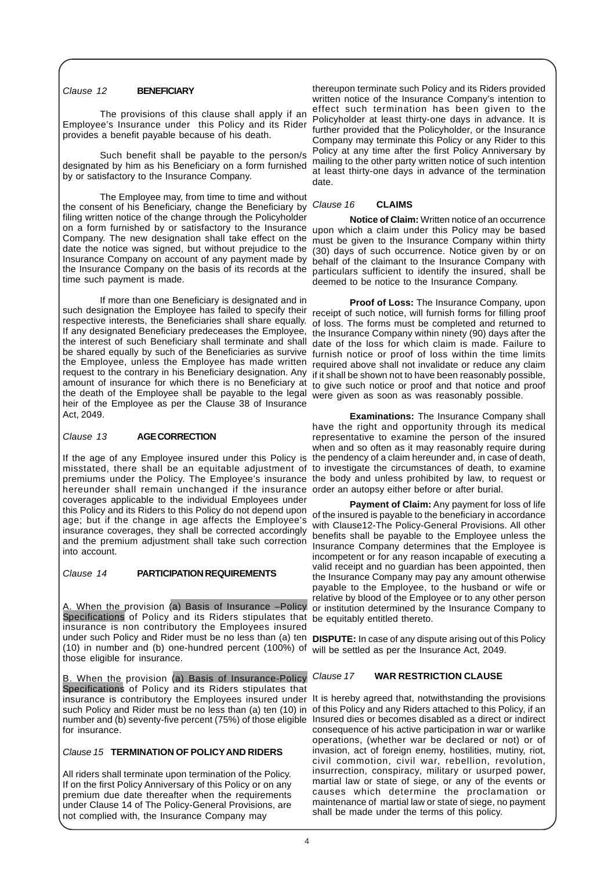#### Clause 12 **BENEFICIARY**

The provisions of this clause shall apply if an Employee's Insurance under this Policy and its Rider provides a benefit payable because of his death.

Such benefit shall be payable to the person/s designated by him as his Beneficiary on a form furnished by or satisfactory to the Insurance Company.

The Employee may, from time to time and without the consent of his Beneficiary, change the Beneficiary by filing written notice of the change through the Policyholder on a form furnished by or satisfactory to the Insurance upon which a claim under this Policy may be based Company. The new designation shall take effect on the date the notice was signed, but without prejudice to the Insurance Company on account of any payment made by the Insurance Company on the basis of its records at the particulars sufficient to identify the insured, shall be time such payment is made.

If more than one Beneficiary is designated and in such designation the Employee has failed to specify their receipt of such notice, will furnish forms for filling proof respective interests, the Beneficiaries shall share equally. If any designated Beneficiary predeceases the Employee, the interest of such Beneficiary shall terminate and shall be shared equally by such of the Beneficiaries as survive the Employee, unless the Employee has made written required above shall not invalidate or reduce any claim request to the contrary in his Beneficiary designation. Any if it shall be shown not to have been reasonably possible, amount of insurance for which there is no Beneficiary at the death of the Employee shall be payable to the legal heir of the Employee as per the Clause 38 of Insurance Act, 2049.

#### Clause 13 **AGE CORRECTION**

If the age of any Employee insured under this Policy is misstated, there shall be an equitable adjustment of premiums under the Policy. The Employee's insurance the body and unless prohibited by law, to request or hereunder shall remain unchanged if the insurance order an autopsy either before or after burial. coverages applicable to the individual Employees under this Policy and its Riders to this Policy do not depend upon age; but if the change in age affects the Employee's insurance coverages, they shall be corrected accordingly and the premium adjustment shall take such correction into account.

#### Clause 14 **PARTICIPATION REQUIREMENTS**

A. When the provision (a) Basis of Insurance –Policy Specifications of Policy and its Riders stipulates that be equitably entitled thereto. insurance is non contributory the Employees insured under such Policy and Rider must be no less than (a) ten **DISPUTE:** In case of any dispute arising out of this Policy (10) in number and (b) one-hundred percent (100%) of will be settled as per the Insurance Act, 2049. those eligible for insurance.

When the provision (a) Basis of Insurance-Policy Clause 17 Specifications of Policy and its Riders stipulates that insurance is contributory the Employees insured under It is hereby agreed that, notwithstanding the provisions such Policy and Rider must be no less than (a) ten (10) in of this Policy and any Riders attached to this Policy, if an number and (b) seventy-five percent (75%) of those eligible Insured dies or becomes disabled as a direct or indirect for insurance.

### Clause 15 **TERMINATION OF POLICYAND RIDERS**

All riders shall terminate upon termination of the Policy. If on the first Policy Anniversary of this Policy or on any premium due date thereafter when the requirements under Clause 14 of The Policy-General Provisions, are not complied with, the Insurance Company may

thereupon terminate such Policy and its Riders provided written notice of the Insurance Company's intention to effect such termination has been given to the Policyholder at least thirty-one days in advance. It is further provided that the Policyholder, or the Insurance Company may terminate this Policy or any Rider to this Policy at any time after the first Policy Anniversary by mailing to the other party written notice of such intention at least thirty-one days in advance of the termination date.

#### Clause 16 **CLAIMS**

**Notice of Claim:** Written notice of an occurrence must be given to the Insurance Company within thirty (30) days of such occurrence. Notice given by or on behalf of the claimant to the Insurance Company with deemed to be notice to the Insurance Company.

**Proof of Loss:** The Insurance Company, upon of loss. The forms must be completed and returned to the Insurance Company within ninety (90) days after the date of the loss for which claim is made. Failure to furnish notice or proof of loss within the time limits to give such notice or proof and that notice and proof were given as soon as was reasonably possible.

**Examinations:** The Insurance Company shall have the right and opportunity through its medical representative to examine the person of the insured when and so often as it may reasonably require during the pendency of a claim hereunder and, in case of death, to investigate the circumstances of death, to examine

**Payment of Claim:** Any payment for loss of life of the insured is payable to the beneficiary in accordance with Clause12-The Policy-General Provisions. All other benefits shall be payable to the Employee unless the Insurance Company determines that the Employee is incompetent or for any reason incapable of executing a valid receipt and no guardian has been appointed, then the Insurance Company may pay any amount otherwise payable to the Employee, to the husband or wife or relative by blood of the Employee or to any other person or institution determined by the Insurance Company to

#### **WAR RESTRICTION CLAUSE**

consequence of his active participation in war or warlike operations, (whether war be declared or not) or of invasion, act of foreign enemy, hostilities, mutiny, riot, civil commotion, civil war, rebellion, revolution, insurrection, conspiracy, military or usurped power, martial law or state of siege, or any of the events or causes which determine the proclamation or maintenance of martial law or state of siege, no payment shall be made under the terms of this policy.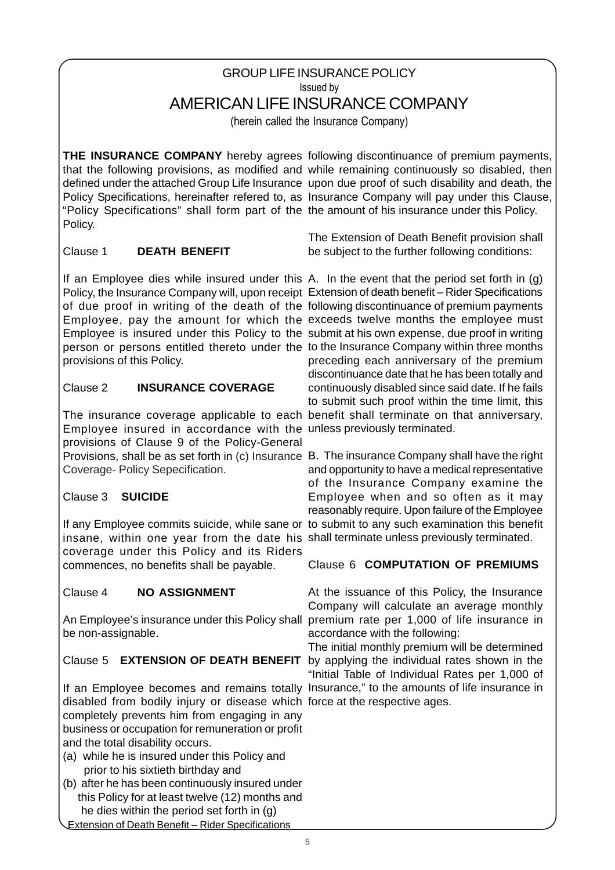# GROUP LIFE INSURANCE POLICY Issued by AMERICAN LIFE INSURANCE COMPANY

(herein called the Insurance Company)

"Policy Specifications" shall form part of the the amount of his insurance under this Policy. Policy.

# Clause 1 **DEATH BENEFIT**

If an Employee dies while insured under this A. In the event that the period set forth in (g) Policy, the Insurance Company will, upon receipt Extension of death benefit - Rider Specifications of due proof in writing of the death of the following discontinuance of premium payments Employee, pay the amount for which the exceeds twelve months the employee must Employee is insured under this Policy to the submit at his own expense, due proof in writing person or persons entitled thereto under the to the Insurance Company within three months provisions of this Policy.

# Clause 2 **INSURANCE COVERAGE**

The insurance coverage applicable to each benefit shall terminate on that anniversary, Employee insured in accordance with the unless previously terminated. Provisions, shall be as set forth in (c) Insurance B. The insurance Company shall have the right provisions of Clause 9 of the Policy-General Coverage- Policy Sepecification.

# Clause 3 **SUICIDE**

If any Employee commits suicide, while sane or to submit to any such examination this benefit insane, within one year from the date his shall terminate unless previously terminated. coverage under this Policy and its Riders commences, no benefits shall be payable.

# Clause 4 **NO ASSIGNMENT**

An Employee's insurance under this Policy shall premium rate per 1,000 of life insurance in be non-assignable.

# Clause 5 **EXTENSION OF DEATH BENEFIT** by applying the individual rates shown in the

If an Employee becomes and remains totally Insurance," to the amounts of life insurance in disabled from bodily injury or disease which force at the respective ages. completely prevents him from engaging in any business or occupation for remuneration or profit and the total disability occurs.

- (a) while he is insured under this Policy and prior to his sixtieth birthday and
- (b) after he has been continuously insured under this Policy for at least twelve (12) months and he dies within the period set forth in (g) Extension of Death Benefit – Rider Specifications

**THE INSURANCE COMPANY** hereby agrees following discontinuance of premium payments, that the following provisions, as modified and while remaining continuously so disabled, then defined under the attached Group Life Insurance upon due proof of such disability and death, the Policy Specifications, hereinafter refered to, as Insurance Company will pay under this Clause,

> The Extension of Death Benefit provision shall be subject to the further following conditions:

preceding each anniversary of the premium discontinuance date that he has been totally and continuously disabled since said date. If he fails to submit such proof within the time limit, this

and opportunity to have a medical representative of the Insurance Company examine the Employee when and so often as it may reasonably require. Upon failure of the Employee

# Clause 6 **COMPUTATION OF PREMIUMS**

At the issuance of this Policy, the Insurance Company will calculate an average monthly accordance with the following:

The initial monthly premium will be determined "Initial Table of Individual Rates per 1,000 of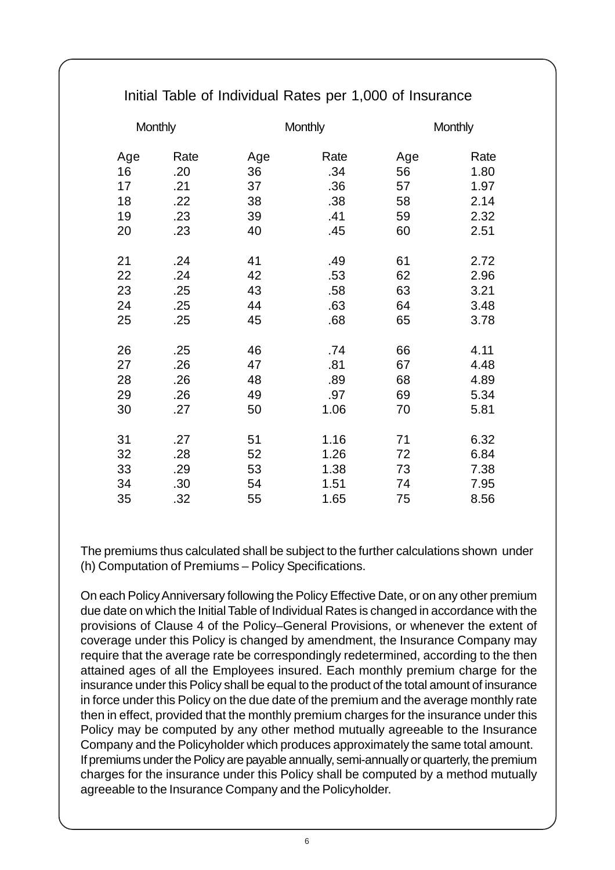| <b>Monthly</b> |      | <b>Monthly</b> |      | <b>Monthly</b> |      |
|----------------|------|----------------|------|----------------|------|
| Age            | Rate | Age            | Rate | Age            | Rate |
| 16             | .20  | 36             | .34  | 56             | 1.80 |
| 17             | .21  | 37             | .36  | 57             | 1.97 |
| 18             | .22  | 38             | .38  | 58             | 2.14 |
| 19             | .23  | 39             | .41  | 59             | 2.32 |
| 20             | .23  | 40             | .45  | 60             | 2.51 |
|                |      |                |      |                |      |
| 21             | .24  | 41             | .49  | 61             | 2.72 |
| 22             | .24  | 42             | .53  | 62             | 2.96 |
| 23             | .25  | 43             | .58  | 63             | 3.21 |
| 24             | .25  | 44             | .63  | 64             | 3.48 |
| 25             | .25  | 45             | .68  | 65             | 3.78 |
|                |      |                |      |                |      |
| 26             | .25  | 46             | .74  | 66             | 4.11 |
| 27             | .26  | 47             | .81  | 67             | 4.48 |
| 28             | .26  | 48             | .89  | 68             | 4.89 |
| 29             | .26  | 49             | .97  | 69             | 5.34 |
| 30             | .27  | 50             | 1.06 | 70             | 5.81 |
|                |      |                |      |                |      |
| 31             | .27  | 51             | 1.16 | 71             | 6.32 |
| 32             | .28  | 52             | 1.26 | 72             | 6.84 |
| 33             | .29  | 53             | 1.38 | 73             | 7.38 |
| 34             | .30  | 54             | 1.51 | 74             | 7.95 |
| 35             | .32  | 55             | 1.65 | 75             | 8.56 |
|                |      |                |      |                |      |

# Initial Table of Individual Rates per 1,000 of Insurance

The premiums thus calculated shall be subject to the further calculations shown under (h) Computation of Premiums – Policy Specifications.

On each Policy Anniversary following the Policy Effective Date, or on any other premium due date on which the Initial Table of Individual Rates is changed in accordance with the provisions of Clause 4 of the Policy–General Provisions, or whenever the extent of coverage under this Policy is changed by amendment, the Insurance Company may require that the average rate be correspondingly redetermined, according to the then attained ages of all the Employees insured. Each monthly premium charge for the insurance under this Policy shall be equal to the product of the total amount of insurance in force under this Policy on the due date of the premium and the average monthly rate then in effect, provided that the monthly premium charges for the insurance under this Policy may be computed by any other method mutually agreeable to the Insurance Company and the Policyholder which produces approximately the same total amount. If premiums under the Policy are payable annually, semi-annually or quarterly, the premium charges for the insurance under this Policy shall be computed by a method mutually agreeable to the Insurance Company and the Policyholder.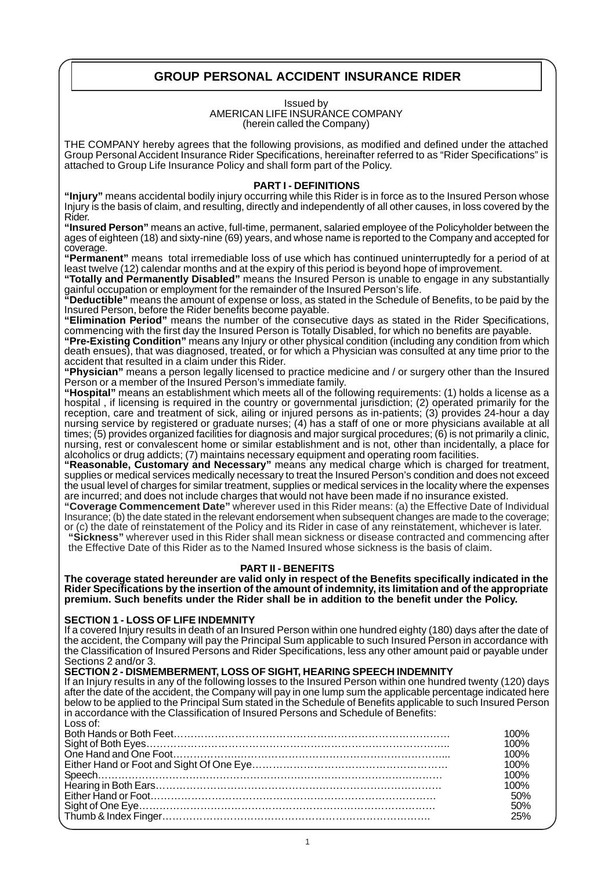# **GROUP PERSONAL ACCIDENT INSURANCE RIDER**

#### Issued by AMERICAN LIFE INSURANCE COMPANY (herein called the Company)

THE COMPANY hereby agrees that the following provisions, as modified and defined under the attached Group Personal Accident Insurance Rider Specifications, hereinafter referred to as "Rider Specifications" is attached to Group Life Insurance Policy and shall form part of the Policy.

## **PART I - DEFINITIONS**

**"Injury"** means accidental bodily injury occurring while this Rider is in force as to the Insured Person whose Injury is the basis of claim, and resulting, directly and independently of all other causes, in loss covered by the Rider.

**"Insured Person"** means an active, full-time, permanent, salaried employee of the Policyholder between the ages of eighteen (18) and sixty-nine (69) years, and whose name is reported to the Company and accepted for coverage.

**"Permanent"** means total irremediable loss of use which has continued uninterruptedly for a period of at least twelve (12) calendar months and at the expiry of this period is beyond hope of improvement.

**"Totally and Permanently Disabled"** means the Insured Person is unable to engage in any substantially gainful occupation or employment for the remainder of the Insured Person's life.

**"Deductible"** means the amount of expense or loss, as stated in the Schedule of Benefits, to be paid by the Insured Person, before the Rider benefits become payable.

**"Elimination Period"** means the number of the consecutive days as stated in the Rider Specifications, commencing with the first day the Insured Person is Totally Disabled, for which no benefits are payable.

**"Pre-Existing Condition"** means any Injury or other physical condition (including any condition from which death ensues), that was diagnosed, treated, or for which a Physician was consulted at any time prior to the accident that resulted in a claim under this Rider.

**"Physician"** means a person legally licensed to practice medicine and / or surgery other than the Insured Person or a member of the Insured Person's immediate family.

**"Hospital"** means an establishment which meets all of the following requirements: (1) holds a license as a hospital , if licensing is required in the country or governmental jurisdiction; (2) operated primarily for the reception, care and treatment of sick, ailing or injured persons as in-patients; (3) provides 24-hour a day nursing service by registered or graduate nurses; (4) has a staff of one or more physicians available at all times; (5) provides organized facilities for diagnosis and major surgical procedures; (6) is not primarily a clinic, nursing, rest or convalescent home or similar establishment and is not, other than incidentally, a place for alcoholics or drug addicts; (7) maintains necessary equipment and operating room facilities.

**"Reasonable, Customary and Necessary"** means any medical charge which is charged for treatment, supplies or medical services medically necessary to treat the Insured Person's condition and does not exceed the usual level of charges for similar treatment, supplies or medical services in the locality where the expenses are incurred; and does not include charges that would not have been made if no insurance existed.

**"Coverage Commencement Date"** wherever used in this Rider means: (a) the Effective Date of Individual Insurance; (b) the date stated in the relevant endorsement when subsequent changes are made to the coverage; or (c) the date of reinstatement of the Policy and its Rider in case of any reinstatement, whichever is later.

**"Sickness"** wherever used in this Rider shall mean sickness or disease contracted and commencing after the Effective Date of this Rider as to the Named Insured whose sickness is the basis of claim.

## **PART II - BENEFITS**

**The coverage stated hereunder are valid only in respect of the Benefits specifically indicated in the Rider Specifications by the insertion of the amount of indemnity, its limitation and of the appropriate premium. Such benefits under the Rider shall be in addition to the benefit under the Policy.**

## **SECTION 1 - LOSS OF LIFE INDEMNITY**

If a covered Injury results in death of an Insured Person within one hundred eighty (180) days after the date of the accident, the Company will pay the Principal Sum applicable to such Insured Person in accordance with the Classification of Insured Persons and Rider Specifications, less any other amount paid or payable under Sections 2 and/or 3.

## **SECTION 2 - DISMEMBERMENT, LOSS OF SIGHT, HEARING SPEECH INDEMNITY**

If an Injury results in any of the following losses to the Insured Person within one hundred twenty (120) days after the date of the accident, the Company will pay in one lump sum the applicable percentage indicated here below to be applied to the Principal Sum stated in the Schedule of Benefits applicable to such Insured Person in accordance with the Classification of Insured Persons and Schedule of Benefits: Loss of:

| IOO% |
|------|
| 100% |
| 100% |
| 100% |
| 100% |
| 100% |
| 50%  |
| 50%  |
|      |
|      |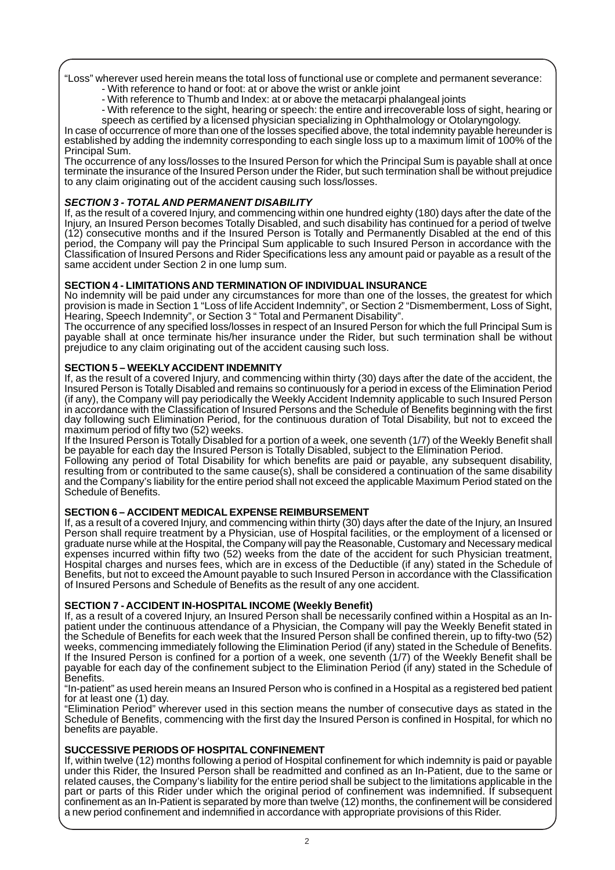"Loss" wherever used herein means the total loss of functional use or complete and permanent severance: - With reference to hand or foot: at or above the wrist or ankle joint

- With reference to Thumb and Index: at or above the metacarpi phalangeal joints
- With reference to the sight, hearing or speech: the entire and irrecoverable loss of sight, hearing or speech as certified by a licensed physician specializing in Ophthalmology or Otolaryngology.

In case of occurrence of more than one of the losses specified above, the total indemnity payable hereunder is established by adding the indemnity corresponding to each single loss up to a maximum limit of 100% of the Principal Sum.

The occurrence of any loss/losses to the Insured Person for which the Principal Sum is payable shall at once terminate the insurance of the Insured Person under the Rider, but such termination shall be without prejudice to any claim originating out of the accident causing such loss/losses.

# **SECTION 3 - TOTALAND PERMANENT DISABILITY**

If, as the result of a covered Injury, and commencing within one hundred eighty (180) days after the date of the Injury, an Insured Person becomes Totally Disabled, and such disability has continued for a period of twelve (12) consecutive months and if the Insured Person is Totally and Permanently Disabled at the end of this period, the Company will pay the Principal Sum applicable to such Insured Person in accordance with the Classification of Insured Persons and Rider Specifications less any amount paid or payable as a result of the same accident under Section 2 in one lump sum.

# **SECTION 4 - LIMITATIONS AND TERMINATION OF INDIVIDUAL INSURANCE**

No indemnity will be paid under any circumstances for more than one of the losses, the greatest for which provision is made in Section 1 "Loss of life Accident Indemnity", or Section 2 "Dismemberment, Loss of Sight, Hearing, Speech Indemnity", or Section 3 " Total and Permanent Disability".

The occurrence of any specified loss/losses in respect of an Insured Person for which the full Principal Sum is payable shall at once terminate his/her insurance under the Rider, but such termination shall be without prejudice to any claim originating out of the accident causing such loss.

# **SECTION 5 – WEEKLY ACCIDENT INDEMNITY**

If, as the result of a covered Injury, and commencing within thirty (30) days after the date of the accident, the Insured Person is Totally Disabled and remains so continuously for a period in excess of the Elimination Period (if any), the Company will pay periodically the Weekly Accident Indemnity applicable to such Insured Person in accordance with the Classification of Insured Persons and the Schedule of Benefits beginning with the first day following such Elimination Period, for the continuous duration of Total Disability, but not to exceed the maximum period of fifty two (52) weeks.

If the Insured Person is Totally Disabled for a portion of a week, one seventh (1/7) of the Weekly Benefit shall be payable for each day the Insured Person is Totally Disabled, subject to the Elimination Period.

Following any period of Total Disability for which benefits are paid or payable, any subsequent disability, resulting from or contributed to the same cause(s), shall be considered a continuation of the same disability and the Company's liability for the entire period shall not exceed the applicable Maximum Period stated on the Schedule of Benefits.

# **SECTION 6 – ACCIDENT MEDICAL EXPENSE REIMBURSEMENT**

If, as a result of a covered Injury, and commencing within thirty (30) days after the date of the Injury, an Insured Person shall require treatment by a Physician, use of Hospital facilities, or the employment of a licensed or graduate nurse while at the Hospital, the Company will pay the Reasonable, Customary and Necessary medical expenses incurred within fifty two (52) weeks from the date of the accident for such Physician treatment, Hospital charges and nurses fees, which are in excess of the Deductible (if any) stated in the Schedule of Benefits, but not to exceed the Amount payable to such Insured Person in accordance with the Classification of Insured Persons and Schedule of Benefits as the result of any one accident.

# **SECTION 7 - ACCIDENT IN-HOSPITAL INCOME (Weekly Benefit)**

If, as a result of a covered Injury, an Insured Person shall be necessarily confined within a Hospital as an Inpatient under the continuous attendance of a Physician, the Company will pay the Weekly Benefit stated in the Schedule of Benefits for each week that the Insured Person shall be confined therein, up to fifty-two (52) weeks, commencing immediately following the Elimination Period (if any) stated in the Schedule of Benefits. If the Insured Person is confined for a portion of a week, one seventh (1/7) of the Weekly Benefit shall be payable for each day of the confinement subject to the Elimination Period (if any) stated in the Schedule of Benefits.

"In-patient" as used herein means an Insured Person who is confined in a Hospital as a registered bed patient for at least one (1) day.

"Elimination Period" wherever used in this section means the number of consecutive days as stated in the Schedule of Benefits, commencing with the first day the Insured Person is confined in Hospital, for which no benefits are payable.

# **SUCCESSIVE PERIODS OF HOSPITAL CONFINEMENT**

If, within twelve (12) months following a period of Hospital confinement for which indemnity is paid or payable under this Rider, the Insured Person shall be readmitted and confined as an In-Patient, due to the same or related causes, the Company's liability for the entire period shall be subject to the limitations applicable in the part or parts of this Rider under which the original period of confinement was indemnified. If subsequent confinement as an In-Patient is separated by more than twelve (12) months, the confinement will be considered a new period confinement and indemnified in accordance with appropriate provisions of this Rider.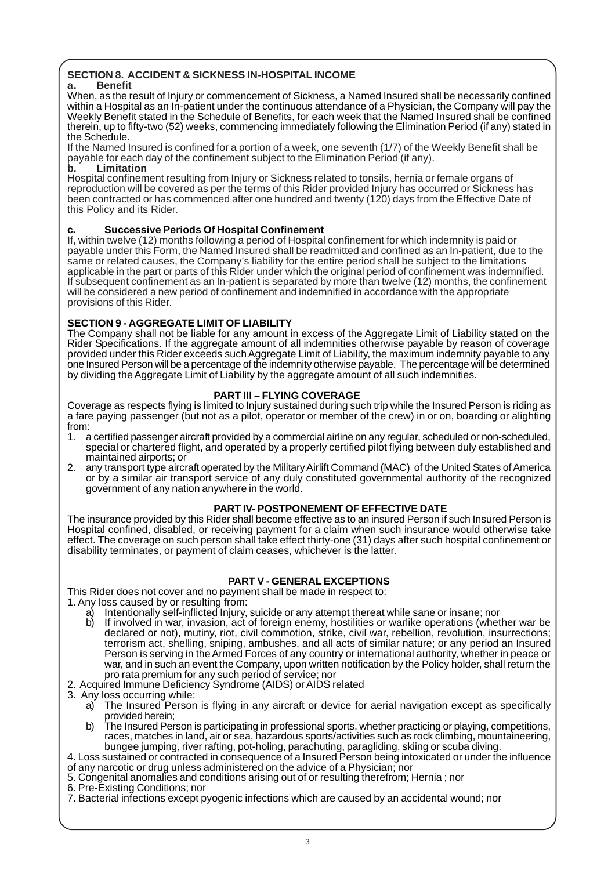#### **SECTION 8. ACCIDENT & SICKNESS IN-HOSPITAL INCOME a. Benefit**

When, as the result of Injury or commencement of Sickness, a Named Insured shall be necessarily confined within a Hospital as an In-patient under the continuous attendance of a Physician, the Company will pay the Weekly Benefit stated in the Schedule of Benefits, for each week that the Named Insured shall be confined therein, up to fifty-two (52) weeks, commencing immediately following the Elimination Period (if any) stated in the Schedule.

If the Named Insured is confined for a portion of a week, one seventh (1/7) of the Weekly Benefit shall be payable for each day of the confinement subject to the Elimination Period (if any).

## **b. Limitation**

Hospital confinement resulting from Injury or Sickness related to tonsils, hernia or female organs of reproduction will be covered as per the terms of this Rider provided Injury has occurred or Sickness has been contracted or has commenced after one hundred and twenty (120) days from the Effective Date of this Policy and its Rider.

## **c. Successive Periods Of Hospital Confinement**

If, within twelve (12) months following a period of Hospital confinement for which indemnity is paid or payable under this Form, the Named Insured shall be readmitted and confined as an In-patient, due to the same or related causes, the Company's liability for the entire period shall be subject to the limitations applicable in the part or parts of this Rider under which the original period of confinement was indemnified. If subsequent confinement as an In-patient is separated by more than twelve (12) months, the confinement will be considered a new period of confinement and indemnified in accordance with the appropriate provisions of this Rider.

## **SECTION 9 - AGGREGATE LIMIT OF LIABILITY**

The Company shall not be liable for any amount in excess of the Aggregate Limit of Liability stated on the Rider Specifications. If the aggregate amount of all indemnities otherwise payable by reason of coverage provided under this Rider exceeds such Aggregate Limit of Liability, the maximum indemnity payable to any one Insured Person will be a percentage of the indemnity otherwise payable. The percentage will be determined by dividing the Aggregate Limit of Liability by the aggregate amount of all such indemnities.

## **PART III – FLYING COVERAGE**

Coverage as respects flying is limited to Injury sustained during such trip while the Insured Person is riding as a fare paying passenger (but not as a pilot, operator or member of the crew) in or on, boarding or alighting from:

- 1. a certified passenger aircraft provided by a commercial airline on any regular, scheduled or non-scheduled, special or chartered flight, and operated by a properly certified pilot flying between duly established and maintained airports; or
- 2. any transport type aircraft operated by the Military Airlift Command (MAC) of the United States of America or by a similar air transport service of any duly constituted governmental authority of the recognized government of any nation anywhere in the world.

# **PART IV- POSTPONEMENT OF EFFECTIVE DATE**

The insurance provided by this Rider shall become effective as to an insured Person if such Insured Person is Hospital confined, disabled, or receiving payment for a claim when such insurance would otherwise take effect. The coverage on such person shall take effect thirty-one (31) days after such hospital confinement or disability terminates, or payment of claim ceases, whichever is the latter.

# **PART V - GENERAL EXCEPTIONS**

This Rider does not cover and no payment shall be made in respect to:

1. Any loss caused by or resulting from:

- a) Intentionally self-inflicted Injury, suicide or any attempt thereat while sane or insane; nor
- b) If involved in war, invasion, act of foreign enemy, hostilities or warlike operations (whether war be declared or not), mutiny, riot, civil commotion, strike, civil war, rebellion, revolution, insurrections; terrorism act, shelling, sniping, ambushes, and all acts of similar nature; or any period an Insured Person is serving in the Armed Forces of any country or international authority, whether in peace or war, and in such an event the Company, upon written notification by the Policy holder, shall return the pro rata premium for any such period of service; nor
- 2. Acquired Immune Deficiency Syndrome (AIDS) or AIDS related
- 3. Any loss occurring while:
	- a) The Insured Person is flying in any aircraft or device for aerial navigation except as specifically provided herein;
	- b) The Insured Person is participating in professional sports, whether practicing or playing, competitions, races, matches in land, air or sea, hazardous sports/activities such as rock climbing, mountaineering, bungee jumping, river rafting, pot-holing, parachuting, paragliding, skiing or scuba diving.
- 4. Loss sustained or contracted in consequence of a Insured Person being intoxicated or under the influence of any narcotic or drug unless administered on the advice of a Physician; nor
- 5. Congenital anomalies and conditions arising out of or resulting therefrom; Hernia ; nor
- 6. Pre-Existing Conditions; nor
- 7. Bacterial infections except pyogenic infections which are caused by an accidental wound; nor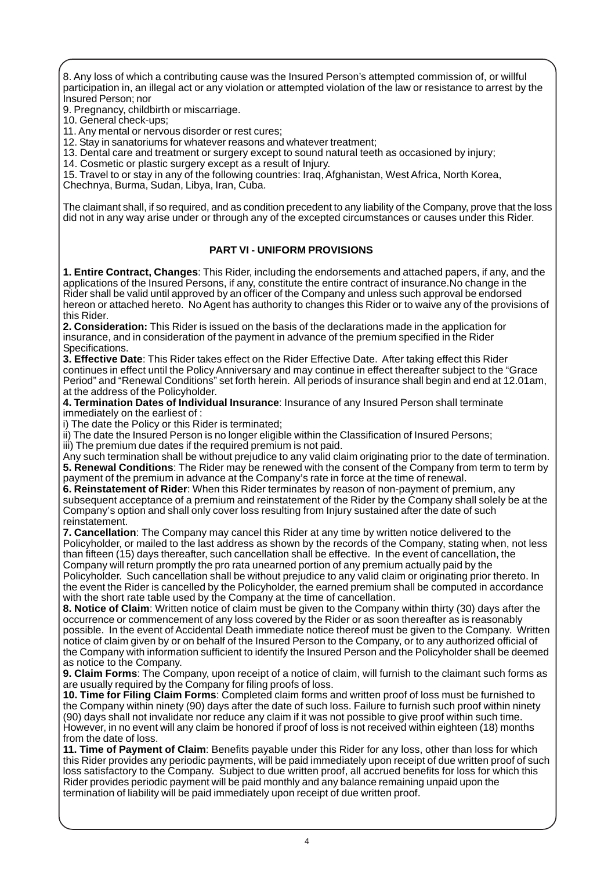8. Any loss of which a contributing cause was the Insured Person's attempted commission of, or willful participation in, an illegal act or any violation or attempted violation of the law or resistance to arrest by the Insured Person; nor

9. Pregnancy, childbirth or miscarriage.

10. General check-ups;

11. Any mental or nervous disorder or rest cures;

12. Stay in sanatoriums for whatever reasons and whatever treatment;

13. Dental care and treatment or surgery except to sound natural teeth as occasioned by injury;

14. Cosmetic or plastic surgery except as a result of Injury.

15. Travel to or stay in any of the following countries: Iraq, Afghanistan, West Africa, North Korea,

Chechnya, Burma, Sudan, Libya, Iran, Cuba.

The claimant shall, if so required, and as condition precedent to any liability of the Company, prove that the loss did not in any way arise under or through any of the excepted circumstances or causes under this Rider.

# **PART VI - UNIFORM PROVISIONS**

**1. Entire Contract, Changes**: This Rider, including the endorsements and attached papers, if any, and the applications of the Insured Persons, if any, constitute the entire contract of insurance.No change in the Rider shall be valid until approved by an officer of the Company and unless such approval be endorsed hereon or attached hereto. No Agent has authority to changes this Rider or to waive any of the provisions of this Rider.

**2. Consideration:** This Rider is issued on the basis of the declarations made in the application for insurance, and in consideration of the payment in advance of the premium specified in the Rider Specifications.

**3. Effective Date**: This Rider takes effect on the Rider Effective Date. After taking effect this Rider continues in effect until the Policy Anniversary and may continue in effect thereafter subject to the "Grace Period" and "Renewal Conditions" set forth herein. All periods of insurance shall begin and end at 12.01am, at the address of the Policyholder.

**4. Termination Dates of Individual Insurance**: Insurance of any Insured Person shall terminate immediately on the earliest of :

i) The date the Policy or this Rider is terminated;

ii) The date the Insured Person is no longer eligible within the Classification of Insured Persons;

iii) The premium due dates if the required premium is not paid.

Any such termination shall be without prejudice to any valid claim originating prior to the date of termination. **5. Renewal Conditions**: The Rider may be renewed with the consent of the Company from term to term by payment of the premium in advance at the Company's rate in force at the time of renewal.

**6. Reinstatement of Rider**: When this Rider terminates by reason of non-payment of premium, any subsequent acceptance of a premium and reinstatement of the Rider by the Company shall solely be at the Company's option and shall only cover loss resulting from Injury sustained after the date of such reinstatement.

**7. Cancellation**: The Company may cancel this Rider at any time by written notice delivered to the Policyholder, or mailed to the last address as shown by the records of the Company, stating when, not less than fifteen (15) days thereafter, such cancellation shall be effective. In the event of cancellation, the Company will return promptly the pro rata unearned portion of any premium actually paid by the Policyholder. Such cancellation shall be without prejudice to any valid claim or originating prior thereto. In

the event the Rider is cancelled by the Policyholder, the earned premium shall be computed in accordance with the short rate table used by the Company at the time of cancellation.

**8. Notice of Claim**: Written notice of claim must be given to the Company within thirty (30) days after the occurrence or commencement of any loss covered by the Rider or as soon thereafter as is reasonably possible. In the event of Accidental Death immediate notice thereof must be given to the Company. Written notice of claim given by or on behalf of the Insured Person to the Company, or to any authorized official of the Company with information sufficient to identify the Insured Person and the Policyholder shall be deemed as notice to the Company.

**9. Claim Forms**: The Company, upon receipt of a notice of claim, will furnish to the claimant such forms as are usually required by the Company for filing proofs of loss.

**10. Time for Filing Claim Forms**: Completed claim forms and written proof of loss must be furnished to the Company within ninety (90) days after the date of such loss. Failure to furnish such proof within ninety (90) days shall not invalidate nor reduce any claim if it was not possible to give proof within such time. However, in no event will any claim be honored if proof of loss is not received within eighteen (18) months from the date of loss.

**11. Time of Payment of Claim**: Benefits payable under this Rider for any loss, other than loss for which this Rider provides any periodic payments, will be paid immediately upon receipt of due written proof of such loss satisfactory to the Company. Subject to due written proof, all accrued benefits for loss for which this Rider provides periodic payment will be paid monthly and any balance remaining unpaid upon the termination of liability will be paid immediately upon receipt of due written proof.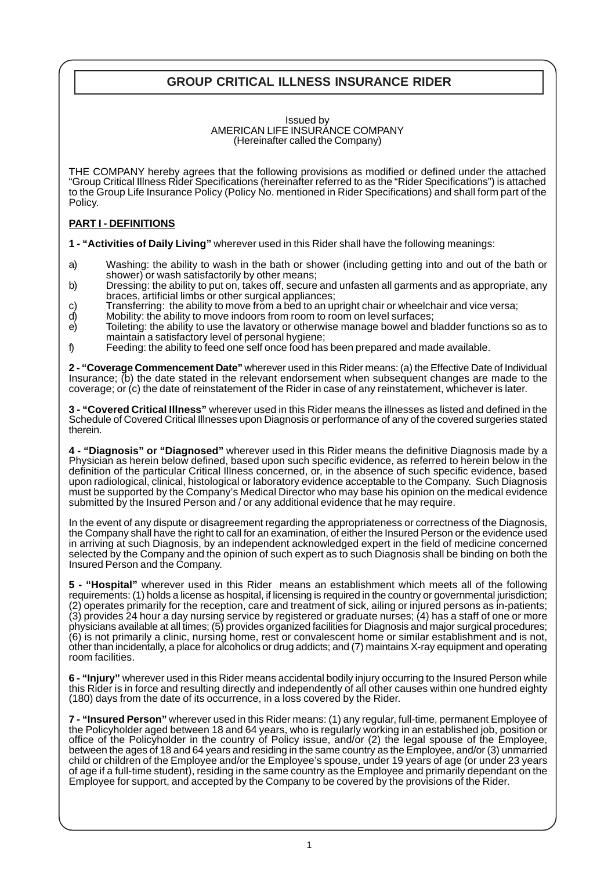# **GROUP CRITICAL ILLNESS INSURANCE RIDER**

#### Issued by AMERICAN LIFE INSURANCE COMPANY (Hereinafter called the Company)

THE COMPANY hereby agrees that the following provisions as modified or defined under the attached "Group Critical Illness Rider Specifications (hereinafter referred to as the "Rider Specifications") is attached to the Group Life Insurance Policy (Policy No. mentioned in Rider Specifications) and shall form part of the Policy.

## **PART I - DEFINITIONS**

**1 - "Activities of Daily Living"** wherever used in this Rider shall have the following meanings:

- a) Washing: the ability to wash in the bath or shower (including getting into and out of the bath or shower) or wash satisfactorily by other means;
- b) Dressing: the ability to put on, takes off, secure and unfasten all garments and as appropriate, any braces, artificial limbs or other surgical appliances;
- c) Transferring: the ability to move from a bed to an upright chair or wheelchair and vice versa;<br>d) Mobility: the ability to move indoors from room to room on level surfaces:
- Mobility: the ability to move indoors from room to room on level surfaces;
- e) Toileting: the ability to use the lavatory or otherwise manage bowel and bladder functions so as to maintain a satisfactory level of personal hygiene;
- f) Feeding: the ability to feed one self once food has been prepared and made available.

**2 - "Coverage Commencement Date"** wherever used in this Rider means: (a) the Effective Date of Individual Insurance; (b) the date stated in the relevant endorsement when subsequent changes are made to the coverage; or (c) the date of reinstatement of the Rider in case of any reinstatement, whichever is later.

**3 - "Covered Critical Illness"** wherever used in this Rider means the illnesses as listed and defined in the Schedule of Covered Critical Illnesses upon Diagnosis or performance of any of the covered surgeries stated therein.

**4 - "Diagnosis" or "Diagnosed"** wherever used in this Rider means the definitive Diagnosis made by a Physician as herein below defined, based upon such specific evidence, as referred to herein below in the definition of the particular Critical Illness concerned, or, in the absence of such specific evidence, based upon radiological, clinical, histological or laboratory evidence acceptable to the Company. Such Diagnosis must be supported by the Company's Medical Director who may base his opinion on the medical evidence submitted by the Insured Person and / or any additional evidence that he may require.

In the event of any dispute or disagreement regarding the appropriateness or correctness of the Diagnosis, the Company shall have the right to call for an examination, of either the Insured Person or the evidence used in arriving at such Diagnosis, by an independent acknowledged expert in the field of medicine concerned selected by the Company and the opinion of such expert as to such Diagnosis shall be binding on both the Insured Person and the Company.

**5 - "Hospital"** wherever used in this Rider means an establishment which meets all of the following requirements: (1) holds a license as hospital, if licensing is required in the country or governmental jurisdiction; (2) operates primarily for the reception, care and treatment of sick, ailing or injured persons as in-patients; (3) provides 24 hour a day nursing service by registered or graduate nurses; (4) has a staff of one or more physicians available at all times; (5) provides organized facilities for Diagnosis and major surgical procedures; (6) is not primarily a clinic, nursing home, rest or convalescent home or similar establishment and is not, other than incidentally, a place for alcoholics or drug addicts; and (7) maintains X-ray equipment and operating room facilities.

**6 - "Injury"** wherever used in this Rider means accidental bodily injury occurring to the Insured Person while this Rider is in force and resulting directly and independently of all other causes within one hundred eighty (180) days from the date of its occurrence, in a loss covered by the Rider.

**7 - "Insured Person"** wherever used in this Rider means: (1) any regular, full-time, permanent Employee of the Policyholder aged between 18 and 64 years, who is regularly working in an established job, position or office of the Policyholder in the country of Policy issue, and/or (2) the legal spouse of the Employee, between the ages of 18 and 64 years and residing in the same country as the Employee, and/or (3) unmarried child or children of the Employee and/or the Employee's spouse, under 19 years of age (or under 23 years of age if a full-time student), residing in the same country as the Employee and primarily dependant on the Employee for support, and accepted by the Company to be covered by the provisions of the Rider.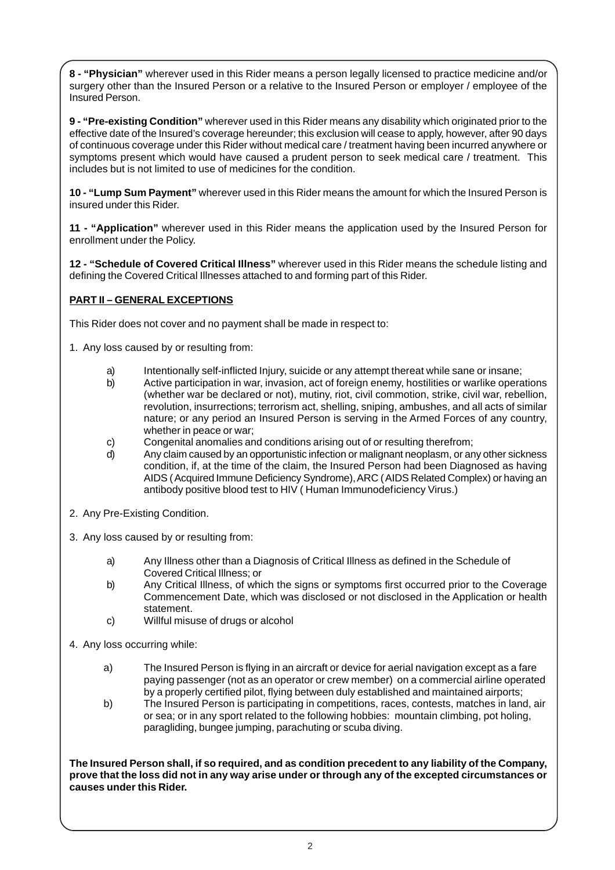**8 - "Physician"** wherever used in this Rider means a person legally licensed to practice medicine and/or surgery other than the Insured Person or a relative to the Insured Person or employer / employee of the Insured Person.

**9 - "Pre-existing Condition"** wherever used in this Rider means any disability which originated prior to the effective date of the Insured's coverage hereunder; this exclusion will cease to apply, however, after 90 days of continuous coverage under this Rider without medical care / treatment having been incurred anywhere or symptoms present which would have caused a prudent person to seek medical care / treatment. This includes but is not limited to use of medicines for the condition.

**10 - "Lump Sum Payment"** wherever used in this Rider means the amount for which the Insured Person is insured under this Rider.

**11 - "Application"** wherever used in this Rider means the application used by the Insured Person for enrollment under the Policy.

**12 - "Schedule of Covered Critical Illness"** wherever used in this Rider means the schedule listing and defining the Covered Critical Illnesses attached to and forming part of this Rider.

# **PART II – GENERAL EXCEPTIONS**

This Rider does not cover and no payment shall be made in respect to:

1. Any loss caused by or resulting from:

- a) Intentionally self-inflicted Injury, suicide or any attempt thereat while sane or insane;
- b) Active participation in war, invasion, act of foreign enemy, hostilities or warlike operations (whether war be declared or not), mutiny, riot, civil commotion, strike, civil war, rebellion, revolution, insurrections; terrorism act, shelling, sniping, ambushes, and all acts of similar nature; or any period an Insured Person is serving in the Armed Forces of any country, whether in peace or war;
- c) Congenital anomalies and conditions arising out of or resulting therefrom;
- d) Any claim caused by an opportunistic infection or malignant neoplasm, or any other sickness condition, if, at the time of the claim, the Insured Person had been Diagnosed as having AIDS ( Acquired Immune Deficiency Syndrome), ARC ( AIDS Related Complex) or having an antibody positive blood test to HIV ( Human Immunodeficiency Virus.)
- 2. Any Pre-Existing Condition.
- 3. Any loss caused by or resulting from:
	- a) Any Illness other than a Diagnosis of Critical Illness as defined in the Schedule of Covered Critical Illness; or
	- b) Any Critical Illness, of which the signs or symptoms first occurred prior to the Coverage Commencement Date, which was disclosed or not disclosed in the Application or health statement.
	- c) Willful misuse of drugs or alcohol
- 4. Any loss occurring while:
	- a) The Insured Person is flying in an aircraft or device for aerial navigation except as a fare paying passenger (not as an operator or crew member) on a commercial airline operated by a properly certified pilot, flying between duly established and maintained airports;
	- b) The Insured Person is participating in competitions, races, contests, matches in land, air or sea; or in any sport related to the following hobbies: mountain climbing, pot holing, paragliding, bungee jumping, parachuting or scuba diving.

**The Insured Person shall, if so required, and as condition precedent to any liability of the Company, prove that the loss did not in any way arise under or through any of the excepted circumstances or causes under this Rider.**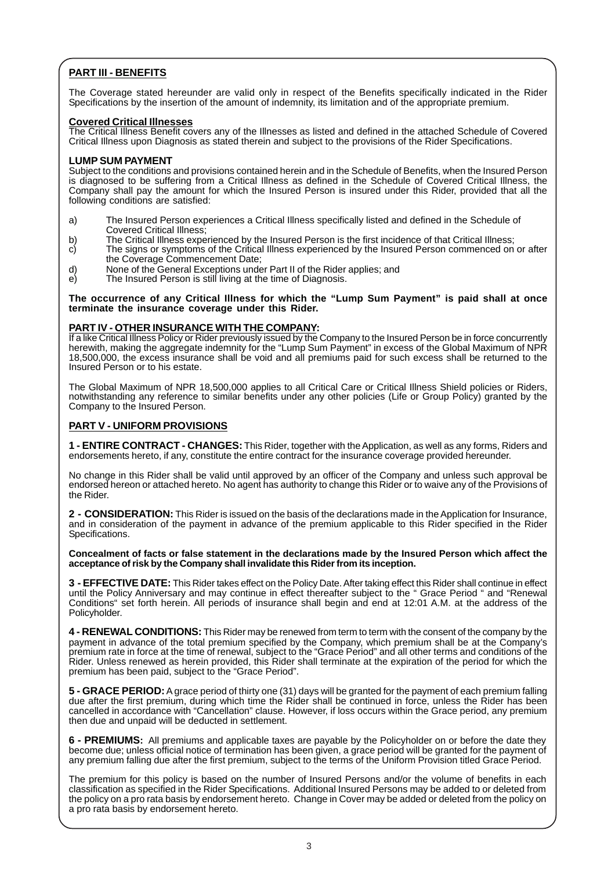# **PART III - BENEFITS**

The Coverage stated hereunder are valid only in respect of the Benefits specifically indicated in the Rider Specifications by the insertion of the amount of indemnity, its limitation and of the appropriate premium.

## **Covered Critical Illnesses**

The Critical Illness Benefit covers any of the Illnesses as listed and defined in the attached Schedule of Covered Critical Illness upon Diagnosis as stated therein and subject to the provisions of the Rider Specifications.

## **LUMP SUM PAYMENT**

Subject to the conditions and provisions contained herein and in the Schedule of Benefits, when the Insured Person is diagnosed to be suffering from a Critical Illness as defined in the Schedule of Covered Critical Illness, the Company shall pay the amount for which the Insured Person is insured under this Rider, provided that all the following conditions are satisfied:

- a) The Insured Person experiences a Critical Illness specifically listed and defined in the Schedule of Covered Critical Illness;
- b) The Critical Illness experienced by the Insured Person is the first incidence of that Critical Illness;<br>c) The signs or symptoms of the Critical Illness experienced by the Insured Person commenced on
- The signs or symptoms of the Critical Illness experienced by the Insured Person commenced on or after the Coverage Commencement Date;
- d) None of the General Exceptions under Part II of the Rider applies; and <br>e) The Insured Person is still living at the time of Diagnosis.
- e) The Insured Person is still living at the time of Diagnosis.

**The occurrence of any Critical Illness for which the "Lump Sum Payment" is paid shall at once terminate the insurance coverage under this Rider.**

## **PART IV - OTHER INSURANCE WITH THE COMPANY:**

If a like Critical Illness Policy or Rider previously issued by the Company to the Insured Person be in force concurrently herewith, making the aggregate indemnity for the "Lump Sum Payment" in excess of the Global Maximum of NPR 18,500,000, the excess insurance shall be void and all premiums paid for such excess shall be returned to the Insured Person or to his estate.

The Global Maximum of NPR 18,500,000 applies to all Critical Care or Critical Illness Shield policies or Riders, notwithstanding any reference to similar benefits under any other policies (Life or Group Policy) granted by the Company to the Insured Person.

## **PART V - UNIFORM PROVISIONS**

**1 - ENTIRE CONTRACT - CHANGES:** This Rider, together with the Application, as well as any forms, Riders and endorsements hereto, if any, constitute the entire contract for the insurance coverage provided hereunder.

No change in this Rider shall be valid until approved by an officer of the Company and unless such approval be endorsed hereon or attached hereto. No agent has authority to change this Rider or to waive any of the Provisions of the Rider.

**2 - CONSIDERATION:** This Rider is issued on the basis of the declarations made in the Application for Insurance, and in consideration of the payment in advance of the premium applicable to this Rider specified in the Rider Specifications.

**Concealment of facts or false statement in the declarations made by the Insured Person which affect the acceptance of risk by the Company shall invalidate this Rider from its inception.**

**3 - EFFECTIVE DATE:** This Rider takes effect on the Policy Date. After taking effect this Rider shall continue in effect until the Policy Anniversary and may continue in effect thereafter subject to the " Grace Period " and "Renewal Conditions" set forth herein. All periods of insurance shall begin and end at 12:01 A.M. at the address of the Policyholder.

**4 - RENEWAL CONDITIONS:** This Rider may be renewed from term to term with the consent of the company by the payment in advance of the total premium specified by the Company, which premium shall be at the Company's premium rate in force at the time of renewal, subject to the "Grace Period" and all other terms and conditions of the Rider. Unless renewed as herein provided, this Rider shall terminate at the expiration of the period for which the premium has been paid, subject to the "Grace Period".

**5 - GRACE PERIOD:** A grace period of thirty one (31) days will be granted for the payment of each premium falling due after the first premium, during which time the Rider shall be continued in force, unless the Rider has been cancelled in accordance with "Cancellation" clause. However, if loss occurs within the Grace period, any premium then due and unpaid will be deducted in settlement.

**6 - PREMIUMS:** All premiums and applicable taxes are payable by the Policyholder on or before the date they become due; unless official notice of termination has been given, a grace period will be granted for the payment of any premium falling due after the first premium, subject to the terms of the Uniform Provision titled Grace Period.

The premium for this policy is based on the number of Insured Persons and/or the volume of benefits in each classification as specified in the Rider Specifications. Additional Insured Persons may be added to or deleted from the policy on a pro rata basis by endorsement hereto. Change in Cover may be added or deleted from the policy on a pro rata basis by endorsement hereto.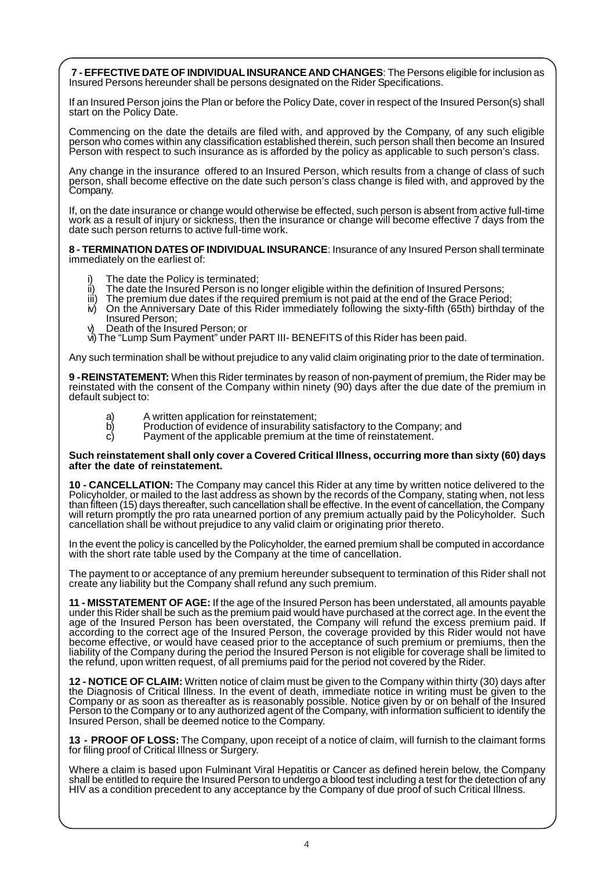**7 - EFFECTIVE DATE OF INDIVIDUAL INSURANCE AND CHANGES**: The Persons eligible for inclusion as Insured Persons hereunder shall be persons designated on the Rider Specifications.

If an Insured Person joins the Plan or before the Policy Date, cover in respect of the Insured Person(s) shall start on the Policy Date.

Commencing on the date the details are filed with, and approved by the Company, of any such eligible person who comes within any classification established therein, such person shall then become an Insured Person with respect to such insurance as is afforded by the policy as applicable to such person's class.

Any change in the insurance offered to an Insured Person, which results from a change of class of such person, shall become effective on the date such person's class change is filed with, and approved by the Company.

If, on the date insurance or change would otherwise be effected, such person is absent from active full-time work as a result of injury or sickness, then the insurance or change will become effective 7 days from the date such person returns to active full-time work.

**8 - TERMINATION DATES OF INDIVIDUAL INSURANCE**: Insurance of any Insured Person shall terminate immediately on the earliest of:

- i) The date the Policy is terminated;
- ii) The date the Insured Person is no longer eligible within the definition of Insured Persons;
- iii) The premium due dates if the required premium is not paid at the end of the Grace Period;<br>iv) On the Anniversary Date of this Rider immediately following the sixty-fifth (65th) birthday
- iv) On the Anniversary Date of this Rider immediately following the sixty-fifth (65th) birthday of the Insured Person;
- v) Death of the Insured Person; or
- vi)The "Lump Sum Payment" under PART III- BENEFITS of this Rider has been paid.

Any such termination shall be without prejudice to any valid claim originating prior to the date of termination.

**9 -REINSTATEMENT:** When this Rider terminates by reason of non-payment of premium, the Rider may be reinstated with the consent of the Company within ninety (90) days after the due date of the premium in default subject to:

- a) A written application for reinstatement;<br>b) Production of evidence of insurability s
- b) Production of evidence of insurability satisfactory to the Company; and c) Payment of the applicable premium at the time of reinstatement.
- Payment of the applicable premium at the time of reinstatement.

#### **Such reinstatement shall only cover a Covered Critical Illness, occurring more than sixty (60) days after the date of reinstatement.**

**10 - CANCELLATION:** The Company may cancel this Rider at any time by written notice delivered to the Policyholder, or mailed to the last address as shown by the records of the Company, stating when, not less than fifteen (15) days thereafter, such cancellation shall be effective. In the event of cancellation, the Company will return promptly the pro rata unearned portion of any premium actually paid by the Policyholder. Such cancellation shall be without prejudice to any valid claim or originating prior thereto.

In the event the policy is cancelled by the Policyholder, the earned premium shall be computed in accordance with the short rate table used by the Company at the time of cancellation.

The payment to or acceptance of any premium hereunder subsequent to termination of this Rider shall not create any liability but the Company shall refund any such premium.

**11 - MISSTATEMENT OF AGE:** If the age of the Insured Person has been understated, all amounts payable under this Rider shall be such as the premium paid would have purchased at the correct age. In the event the age of the Insured Person has been overstated, the Company will refund the excess premium paid. If according to the correct age of the Insured Person, the coverage provided by this Rider would not have become effective, or would have ceased prior to the acceptance of such premium or premiums, then the liability of the Company during the period the Insured Person is not eligible for coverage shall be limited to the refund, upon written request, of all premiums paid for the period not covered by the Rider.

**12 - NOTICE OF CLAIM:** Written notice of claim must be given to the Company within thirty (30) days after the Diagnosis of Critical Illness. In the event of death, immediate notice in writing must be given to the Company or as soon as thereafter as is reasonably possible. Notice given by or on behalf of the Insured Person to the Company or to any authorized agent of the Company, with information sufficient to identify the Insured Person, shall be deemed notice to the Company.

**13 - PROOF OF LOSS:** The Company, upon receipt of a notice of claim, will furnish to the claimant forms for filing proof of Critical Illness or Surgery.

Where a claim is based upon Fulminant Viral Hepatitis or Cancer as defined herein below, the Company shall be entitled to require the Insured Person to undergo a blood test including a test for the detection of any HIV as a condition precedent to any acceptance by the Company of due proof of such Critical Illness.